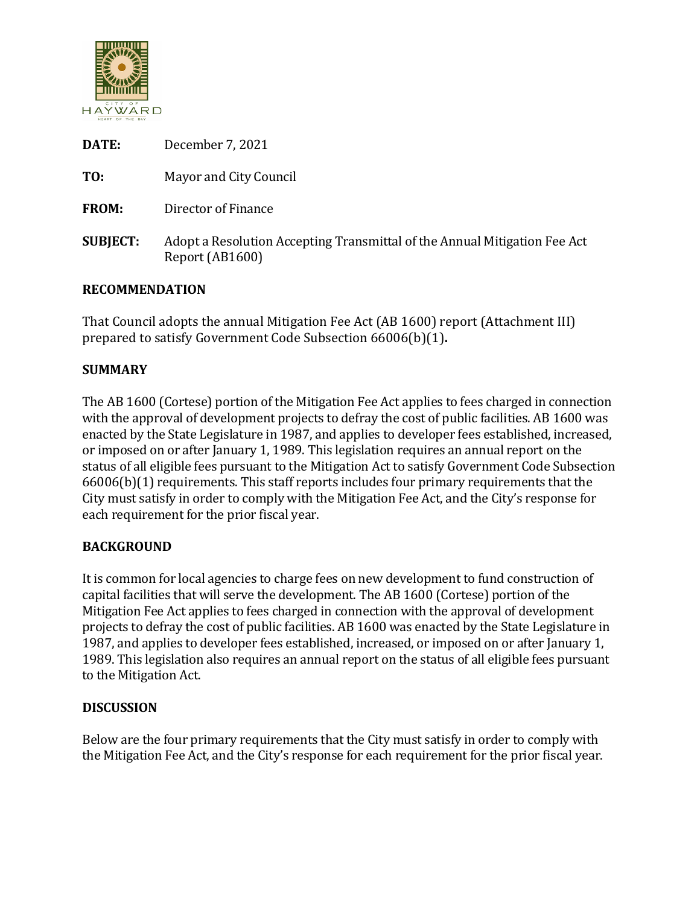

| December 7, 2021                                                                             |
|----------------------------------------------------------------------------------------------|
| Mayor and City Council                                                                       |
| Director of Finance                                                                          |
| Adopt a Resolution Accepting Transmittal of the Annual Mitigation Fee Act<br>Report (AB1600) |
|                                                                                              |

# **RECOMMENDATION**

That Council adopts the annual Mitigation Fee Act (AB 1600) report (Attachment III) prepared to satisfy Government Code Subsection 66006(b)(1)**.**

# **SUMMARY**

The AB 1600 (Cortese) portion of the Mitigation Fee Act applies to fees charged in connection with the approval of development projects to defray the cost of public facilities. AB 1600 was enacted by the State Legislature in 1987, and applies to developer fees established, increased, or imposed on or after January 1, 1989. This legislation requires an annual report on the status of all eligible fees pursuant to the Mitigation Act to satisfy Government Code Subsection 66006(b)(1) requirements. This staff reports includes four primary requirements that the City must satisfy in order to comply with the Mitigation Fee Act, and the City's response for each requirement for the prior fiscal year.

# **BACKGROUND**

It is common for local agencies to charge fees on new development to fund construction of capital facilities that will serve the development. The AB 1600 (Cortese) portion of the Mitigation Fee Act applies to fees charged in connection with the approval of development projects to defray the cost of public facilities. AB 1600 was enacted by the State Legislature in 1987, and applies to developer fees established, increased, or imposed on or after January 1, 1989. This legislation also requires an annual report on the status of all eligible fees pursuant to the Mitigation Act.

#### **DISCUSSION**

Below are the four primary requirements that the City must satisfy in order to comply with the Mitigation Fee Act, and the City's response for each requirement for the prior fiscal year.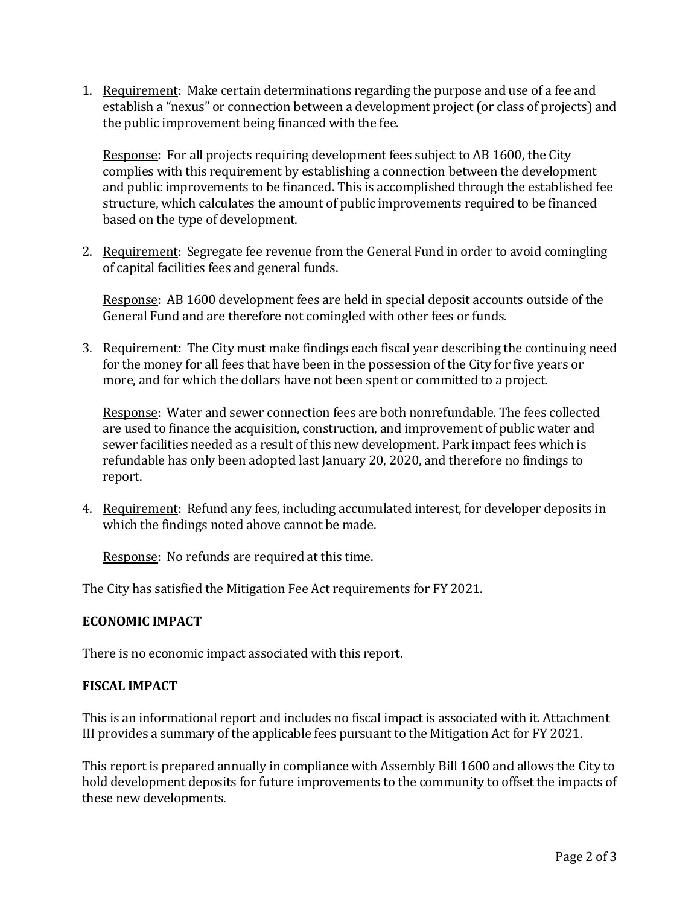1. Requirement: Make certain determinations regarding the purpose and use of a fee and establish a "nexus" or connection between a development project (or class of projects) and the public improvement being financed with the fee.

Response: For all projects requiring development fees subject to AB 1600, the City complies with this requirement by establishing a connection between the development and public improvements to be financed. This is accomplished through the established fee structure, which calculates the amount of public improvements required to be financed based on the type of development.

2. Requirement: Segregate fee revenue from the General Fund in order to avoid comingling of capital facilities fees and general funds.

Response: AB 1600 development fees are held in special deposit accounts outside of the General Fund and are therefore not comingled with other fees or funds.

3. Requirement: The City must make findings each fiscal year describing the continuing need for the money for all fees that have been in the possession of the City for five years or more, and for which the dollars have not been spent or committed to a project.

Response: Water and sewer connection fees are both nonrefundable. The fees collected are used to finance the acquisition, construction, and improvement of public water and sewer facilities needed as a result of this new development. Park impact fees which is refundable has only been adopted last January 20, 2020, and therefore no findings to report.

4. Requirement: Refund any fees, including accumulated interest, for developer deposits in which the findings noted above cannot be made.

Response: No refunds are required at this time.

The City has satisfied the Mitigation Fee Act requirements for FY 2021.

# **ECONOMIC IMPACT**

There is no economic impact associated with this report.

# **FISCAL IMPACT**

This is an informational report and includes no fiscal impact is associated with it. Attachment III provides a summary of the applicable fees pursuant to the Mitigation Act for FY 2021.

This report is prepared annually in compliance with Assembly Bill 1600 and allows the City to hold development deposits for future improvements to the community to offset the impacts of these new developments.